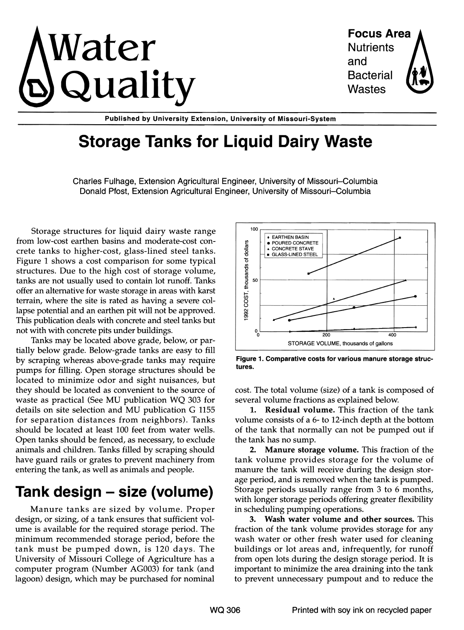

Focus Area **Nutrients** and Bacterial Wastes

Published by University Extension, University of Missouri-System

# Storage Tanks for Liquid Dairy Waste

Charles Fulhage, Extension Agricultural Engineer, University of Missouri-Columbia Donald Pfost, Extension Agricultural Engineer, University of Missouri-Columbia

Storage structures for liquid dairy waste range from low-cost earthen basins and moderate-cost concrete tanks to higher-cost, glass-lined steel tanks. Figure 1 shows a cost comparison for some typical structures. Due to the high cost of storage volume, tanks are not usually used to contain lot runoff. Tanks offer an alternative for waste storage in areas with karst terrain, where the site is rated as having a severe collapse potential and an earthen pit will not be approved. This publication deals with concrete and steel tanks but not with with concrete pits under buildings.

Tanks may be located above grade, below, or partially below grade. Below-grade tanks are easy to fill by scraping whereas above-grade tanks may require pumps for filling. Open storage structures should be located to minimize odor and sight nuisances, but they should be located as convenient to the source of waste as practical (See MU publication WQ 303 for details on site selection and MU publication G 1155 for separation distances from neighbors). Tanks should be located at least 100 feet from water wells. Open tanks should be fenced, as necessary, to exclude animals and children. Tanks filled by scraping should have guard rails or grates to prevent machinery from entering the tank, as well as animals and people.

### Tank design – size (volume)

Manure tanks are sized by volume. Proper design, or sizing, of a tank ensures that sufficient volume is available for the required storage period. The .minimum recommended storage period, before the tank must be pumped down, is 120 days. The University of Missouri College of Agriculture has a computer program (Number AG003) for tank (and lagoon) design, which may be purchased for nominal



tures. Figure 1. Comparative costs for various manure storage struc-

cost. The total volume (size) of a tank is composed of several volume fractions as explained below.

1. Residual volume. This fraction of the tank volume consists of a 6- to 12-inch depth at the bottom of the tank that normally can not be pumped out if the tank has no sump.

2. Manure storage volume. This fraction of the tank volume provides storage for the volume of manure the tank will receive during the design storage period, and is removed when the tank is pumped. Storage periods usually range from 3 to 6 months, with longer storage periods offering greater flexibility in scheduling pumping operations.

3. Wash water volume and other sources. This fraction of the tank volume provides storage for any wash water or other fresh water used for cleaning buildings or lot areas and, infrequently, for runoff from open lots during the design storage period. It is important to minimize the area draining into the tank to prevent unnecessary pumpout and to reduce the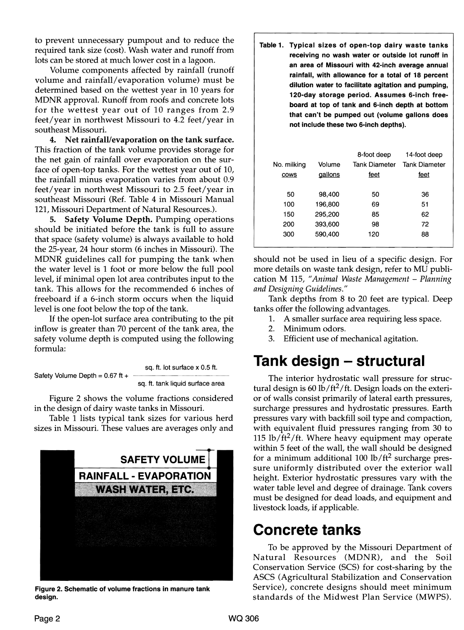to prevent unnecessary pumpout and to reduce the required tank size (cost). Wash water and runoff from lots can be stored at much lower cost in a lagoon.

Volume components affected by rainfall (runoff volume and rainfall/evaporation volume) must be determined based on the wettest year in 10 years for MDNR approval. Runoff from roofs and concrete lots for the wettest year out of 10 ranges from 2.9 feet/year in northwest Missouri to 4.2 feet/year in southeast Missouri.

4. Net rainfall/evaporation on the tank surface. This fraction of the tank volume provides storage for the net gain of rainfall over evaporation on the surface of open-top tanks. For the wettest year out of 10, the rainfall minus evaporation varies from about 0.9 feet/year in northwest Missouri to 2.5 feet/year in southeast Missouri (Ref. Table 4 in Missouri Manual 121, Missouri Department of Natural Resources.).

5. Safety Volume Depth. Pumping operations should be initiated before the tank is full to assure that space (safety volume) is always available to hold the 25-year, 24 hour storm (6 inches in Missouri). The MDNR guidelines call for pumping the tank when the water level is 1 foot or more below the full pool level, if minimal open lot area contributes input to the tank. This allows for the recommended 6 inches of freeboard if a 6-inch storm occurs when the liquid level is one foot below the top of the tank.

If the open-lot surface area contributing to the pit inflow is greater than 70 percent of the tank area, the safety volume depth is computed using the following formula:

Safety Volume Depth = 0.67 ft +

\nSo 
$$
1 + 2 + 3 = 0
$$

sq. ft. tank liquid surface area

 $0.5$  ft.

Figure 2 shows the volume fractions considered in the design of dairy waste tanks in Missouri.

Table 1 lists typical tank sizes for various herd sizes in Missouri. These values are averages only and



Figure 2. Schematic of volume fractions in manure tank design.

Table 1. Typical sizes of open-top dairy waste tanks receiving no wash water or outside lot runoff in an area of Missouri with 42-inch average annual rainfall, with allowance for a total of 18 percent dilution water to facilitate agitation and pumping, that can't be pumped out (volume gallons does 120-day storage period. Assumes 6-inch not include these two 6-inch depths). board at top of tank and 6-inch depth at bottom free-

|             |         | 8-foot deep   | 14-foot deep         |
|-------------|---------|---------------|----------------------|
| No. milking | Volume  | Tank Diameter | <b>Tank Diameter</b> |
| cows        | qallons | feet          | <u>feet</u>          |
|             |         |               |                      |
| 50          | 98,400  | 50            | 36                   |
| 100         | 196,800 | 69            | 51                   |
| 150         | 295,200 | 85            | 62                   |
| 200         | 393,600 | 98            | 72                   |
| 300         | 590,400 | 120           | 88                   |
|             |         |               |                      |

should not be used in lieu of a specific design. For more details on waste tank design, refer to MU publication M 115, "Animal Waste Management - Planning *and Designing Guidelines."* 

Tank depths from 8 to 20 feet are typical. Deep tanks offer the following advantages.

- 1. A smaller surface area requiring less space.
- 2. Minimum odors.
- 3. Efficient use of mechanical agitation.

## Tank design – structural

The interior hydrostatic wall pressure for structural design is 60 lb/ft<sup>2</sup>/ft. Design loads on the exterior of walls consist primarily of lateral earth pressures, surcharge pressures and hydrostatic pressures. Earth pressures vary with backfill soil type and compaction, with equivalent fluid pressures ranging from 30 to 115 lb/ft<sup>2</sup>/ft. Where heavy equipment may operate within 5 feet of the wall, the wall should be designed for a minimum additional  $100$  lb/ft<sup>2</sup> surcharge pressure uniformly distributed over the exterior wall height. Exterior hydrostatic pressures vary with the water table level and degree of drainage. Tank covers must be designed for dead loads, and equipment and livestock loads, if applicable.

### Concrete tanks

To be approved by the Missouri Department of Natural Resources (MDNR), and the Soil Conservation Service (SCS) for cost-sharing by the ASCS (Agricultural Stabilization and Conservation Service), concrete designs should meet minimum standards of the Midwest Plan Service (MWPS).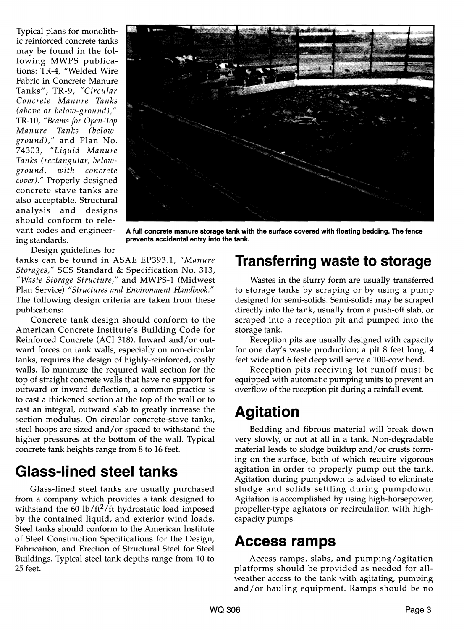Typical plans for monolithic reinforced concrete tanks may be found in the following MWPS publications: TR-4, "Welded Wire Fabric in Concrete Manure Tanks"; TR-9, *"Circular Concrete Manure Tanks (above or below-ground),"*  TR-10, *"Beams for Open-Top Manure Tanks (belowground),"* and Plan No. *74303, "Liquid Manure Tanks (rectangular, belowground, with concrete cover)."* Properly designed concrete stave tanks are also acceptable. Structural analysis and designs should conform to rele-<br>vant codes and engineer-



vant codes and engineer- A full concrete manure storage tank with the surface covered with floating bedding. The fence<br>ing standards. Prevents accidental entry into the tank. prevents accidental entry into the tank.

Design guidelines for

tanks can be found in ASAE EP393.1, *"Manure Storages,"* SCS Standard & Specification No. 313, *"Waste Storage Structure,"* and MWPS-1 (Midwest Plan Service) *"Structures and Environment Handbook."*  The following design criteria are taken from these publications:

Concrete tank design should conform to the American Concrete Institute's Building Code for Reinforced Concrete (ACI 318). Inward and/or outward forces on tank walls, especially on non-circular tanks, requires the design of highly-reinforced, costly walls. To minimize the required wall section for the top of straight concrete walls that have no support for outward or inward deflection, a common practice is to cast a thickened section at the top of the wall or to cast an integral, outward slab to greatly increase the section modulus. On circular concrete-stave tanks, steel hoops are sized and/or spaced to withstand the higher pressures at the bottom of the wall. Typical concrete tank heights range from 8 to 16 feet.

## Glass-lined steel tanks

Glass-lined steel tanks are usually purchased from a company which provides a tank designed to withstand the 60 lb/ft<sup>2</sup>/ft hydrostatic load imposed by the contained liquid, and exterior wind loads. Steel tanks should conform to the American Institute of Steel Construction Specifications for the Design, Fabrication, and Erection of Structural Steel for Steel Buildings. Typical steel tank depths range from 10 to 25 feet.

## Transferring waste to storage

Wastes in the slurry form are usually transferred to storage tanks by scraping or by using a pump designed for semi-solids. Semi-solids may be scraped directly into the tank, usually from a push-off slab, or scraped into a reception pit and pumped into the storage tank.

Reception pits are usually designed with capacity for one day's waste production; a pit 8 feet long, 4 feet wide and 6 feet deep will serve a 100-cow herd.

Reception pits receiving lot runoff must be equipped with automatic pumping units to prevent an overflow of the reception pit during a rainfall event.

## Agitation

Bedding and fibrous material will break down very slowly, or not at all in a tank. Non-degradable material leads to sludge buildup and/or crusts forming on the surface, both of which require vigorous agitation in order to properly pump out the tank. Agitation during pumpdown is advised to eliminate sludge and solids settling during pumpdown. Agitation is accomplished by using high-horsepower, propeller-type agitators or recirculation with highcapacity pumps.

#### Access ramps

Access ramps, slabs, and pumping/agitation platforms should be provided as needed for allweather access to the tank with agitating, pumping and/or hauling equipment. Ramps should be no